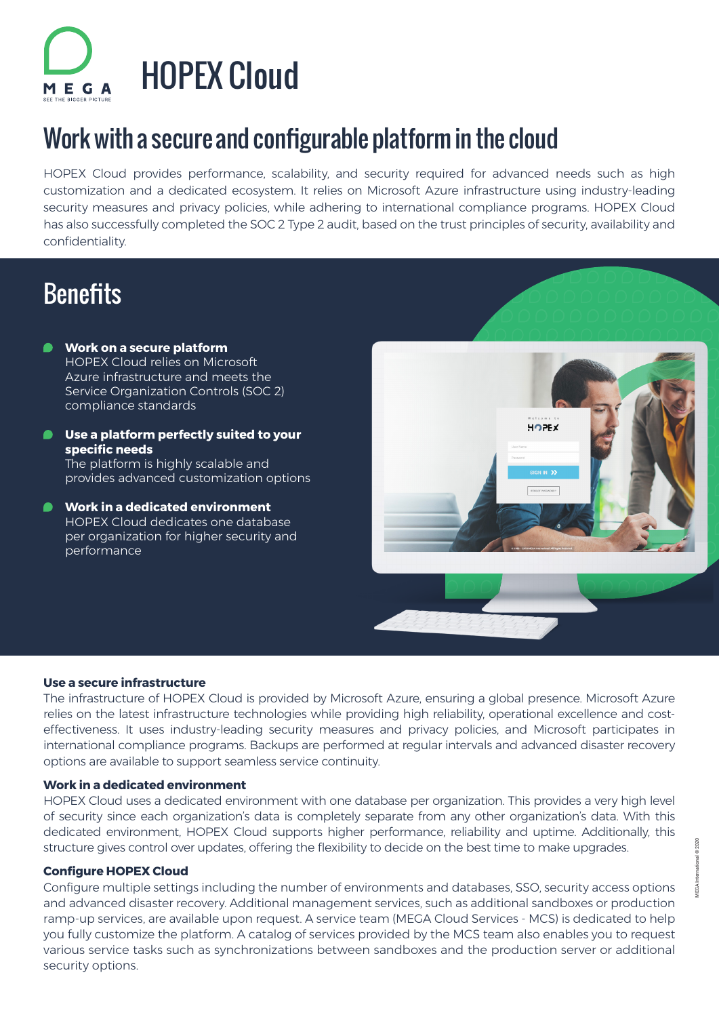

# Work with a secure and configurable platform in the cloud

HOPEX Cloud provides performance, scalability, and security required for advanced needs such as high customization and a dedicated ecosystem. It relies on Microsoft Azure infrastructure using industry-leading security measures and privacy policies, while adhering to international compliance programs. HOPEX Cloud has also successfully completed the SOC 2 Type 2 audit, based on the trust principles of security, availability and confidentiality.

### **Benefits**

- **Work on a secure platform**  HOPEX Cloud relies on Microsoft Azure infrastructure and meets the Service Organization Controls (SOC 2) compliance standards
- **Use a platform perfectly suited to your specific needs**  The platform is highly scalable and provides advanced customization options
- Г **Work in a dedicated environment**  HOPEX Cloud dedicates one database per organization for higher security and performance



### **Use a secure infrastructure**

The infrastructure of HOPEX Cloud is provided by Microsoft Azure, ensuring a global presence. Microsoft Azure relies on the latest infrastructure technologies while providing high reliability, operational excellence and costeffectiveness. It uses industry-leading security measures and privacy policies, and Microsoft participates in international compliance programs. Backups are performed at regular intervals and advanced disaster recovery options are available to support seamless service continuity.

### **Work in a dedicated environment**

HOPEX Cloud uses a dedicated environment with one database per organization. This provides a very high level of security since each organization's data is completely separate from any other organization's data. With this dedicated environment, HOPEX Cloud supports higher performance, reliability and uptime. Additionally, this structure gives control over updates, offering the flexibility to decide on the best time to make upgrades.

#### **Configure HOPEX Cloud**

Configure multiple settings including the number of environments and databases, SSO, security access options and advanced disaster recovery. Additional management services, such as additional sandboxes or production ramp-up services, are available upon request. A service team (MEGA Cloud Services - MCS) is dedicated to help you fully customize the platform. A catalog of services provided by the MCS team also enables you to request various service tasks such as synchronizations between sandboxes and the production server or additional security options.